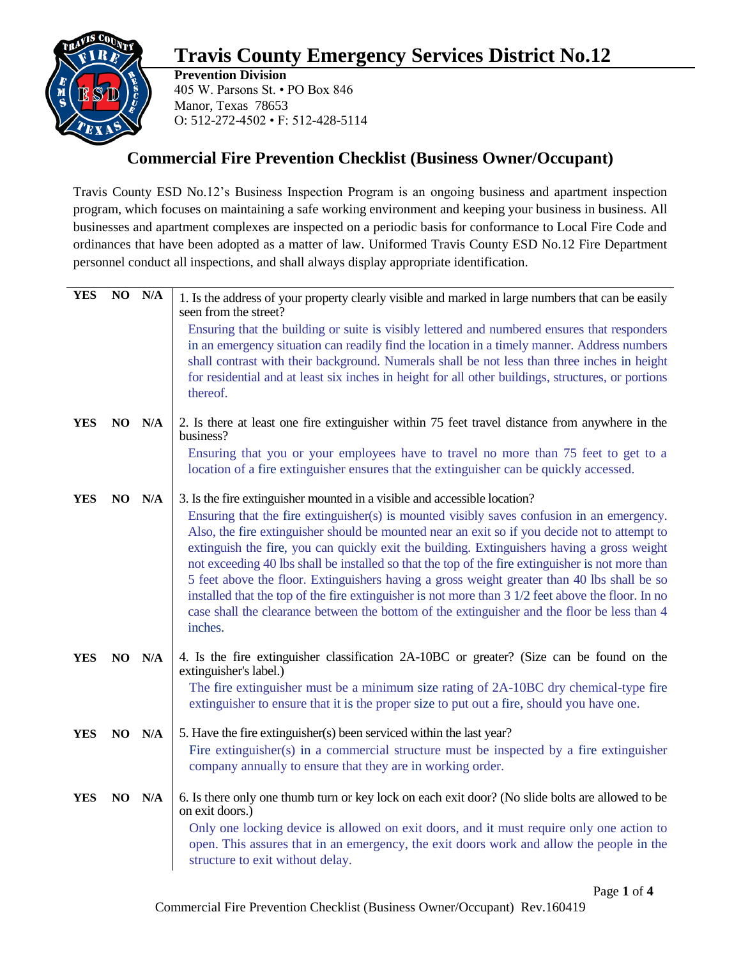## **Travis County Emergency Services District No.12**



**Prevention Division** 405 W. Parsons St. • PO Box 846 Manor, Texas 78653 O: 512-272-4502 • F: 512-428-5114

## **Commercial Fire Prevention Checklist (Business Owner/Occupant)**

Travis County ESD No.12's Business Inspection Program is an ongoing business and apartment inspection program, which focuses on maintaining a safe working environment and keeping your business in business. All businesses and apartment complexes are inspected on a periodic basis for conformance to Local Fire Code and ordinances that have been adopted as a matter of law. Uniformed Travis County ESD No.12 Fire Department personnel conduct all inspections, and shall always display appropriate identification.

| <b>YES</b> | NO N/A | 1. Is the address of your property clearly visible and marked in large numbers that can be easily<br>seen from the street?                                                                                                                                                                                                                                                                                                                                                                                                                                                                                                                                                                                                                                                                   |
|------------|--------|----------------------------------------------------------------------------------------------------------------------------------------------------------------------------------------------------------------------------------------------------------------------------------------------------------------------------------------------------------------------------------------------------------------------------------------------------------------------------------------------------------------------------------------------------------------------------------------------------------------------------------------------------------------------------------------------------------------------------------------------------------------------------------------------|
|            |        | Ensuring that the building or suite is visibly lettered and numbered ensures that responders<br>in an emergency situation can readily find the location in a timely manner. Address numbers<br>shall contrast with their background. Numerals shall be not less than three inches in height<br>for residential and at least six inches in height for all other buildings, structures, or portions<br>thereof.                                                                                                                                                                                                                                                                                                                                                                                |
| <b>YES</b> | NO N/A | 2. Is there at least one fire extinguisher within 75 feet travel distance from anywhere in the<br>business?                                                                                                                                                                                                                                                                                                                                                                                                                                                                                                                                                                                                                                                                                  |
|            |        | Ensuring that you or your employees have to travel no more than 75 feet to get to a<br>location of a fire extinguisher ensures that the extinguisher can be quickly accessed.                                                                                                                                                                                                                                                                                                                                                                                                                                                                                                                                                                                                                |
| <b>YES</b> | NO N/A | 3. Is the fire extinguisher mounted in a visible and accessible location?<br>Ensuring that the fire extinguisher(s) is mounted visibly saves confusion in an emergency.<br>Also, the fire extinguisher should be mounted near an exit so if you decide not to attempt to<br>extinguish the fire, you can quickly exit the building. Extinguishers having a gross weight<br>not exceeding 40 lbs shall be installed so that the top of the fire extinguisher is not more than<br>5 feet above the floor. Extinguishers having a gross weight greater than 40 lbs shall be so<br>installed that the top of the fire extinguisher is not more than 3 1/2 feet above the floor. In no<br>case shall the clearance between the bottom of the extinguisher and the floor be less than 4<br>inches. |
| <b>YES</b> | NO N/A | 4. Is the fire extinguisher classification 2A-10BC or greater? (Size can be found on the<br>extinguisher's label.)<br>The fire extinguisher must be a minimum size rating of 2A-10BC dry chemical-type fire<br>extinguisher to ensure that it is the proper size to put out a fire, should you have one.                                                                                                                                                                                                                                                                                                                                                                                                                                                                                     |
| <b>YES</b> | NO N/A | 5. Have the fire extinguisher(s) been serviced within the last year?<br>Fire extinguisher(s) in a commercial structure must be inspected by a fire extinguisher<br>company annually to ensure that they are in working order.                                                                                                                                                                                                                                                                                                                                                                                                                                                                                                                                                                |
| <b>YES</b> | NO N/A | 6. Is there only one thumb turn or key lock on each exit door? (No slide bolts are allowed to be<br>on exit doors.)<br>Only one locking device is allowed on exit doors, and it must require only one action to<br>open. This assures that in an emergency, the exit doors work and allow the people in the<br>structure to exit without delay.                                                                                                                                                                                                                                                                                                                                                                                                                                              |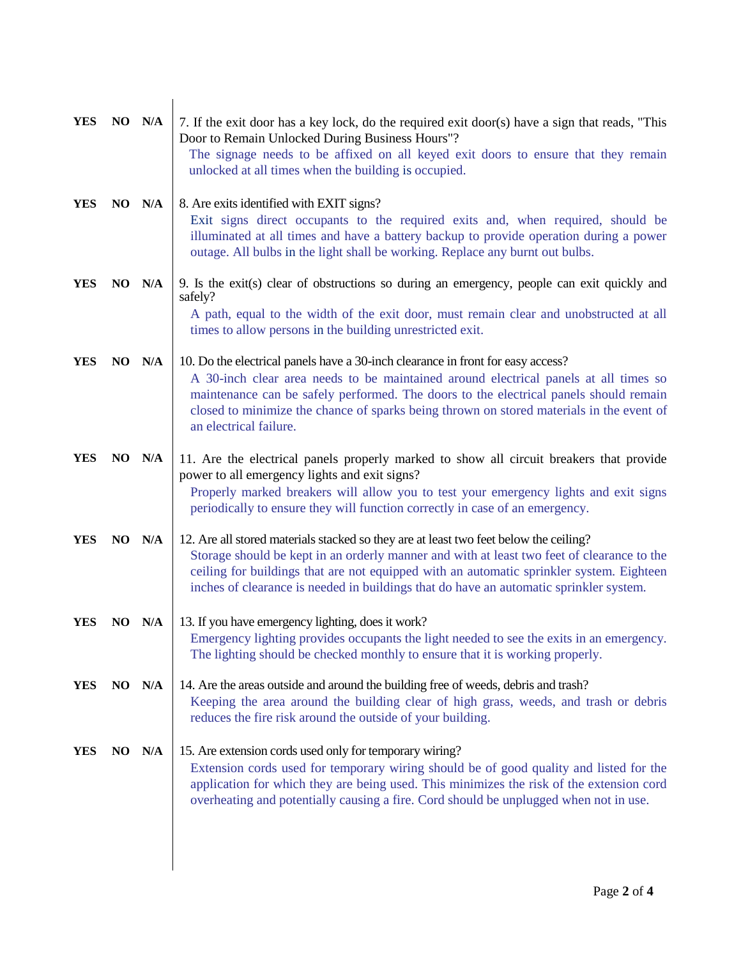| <b>YES</b> | NO N/A     | 7. If the exit door has a key lock, do the required exit door(s) have a sign that reads, "This<br>Door to Remain Unlocked During Business Hours"?<br>The signage needs to be affixed on all keyed exit doors to ensure that they remain                                                                                                                                                |
|------------|------------|----------------------------------------------------------------------------------------------------------------------------------------------------------------------------------------------------------------------------------------------------------------------------------------------------------------------------------------------------------------------------------------|
|            |            | unlocked at all times when the building is occupied.                                                                                                                                                                                                                                                                                                                                   |
| <b>YES</b> | NO N/A     | 8. Are exits identified with EXIT signs?<br>Exit signs direct occupants to the required exits and, when required, should be<br>illuminated at all times and have a battery backup to provide operation during a power<br>outage. All bulbs in the light shall be working. Replace any burnt out bulbs.                                                                                 |
| <b>YES</b> | NO N/A     | 9. Is the exit(s) clear of obstructions so during an emergency, people can exit quickly and<br>safely?                                                                                                                                                                                                                                                                                 |
|            |            | A path, equal to the width of the exit door, must remain clear and unobstructed at all<br>times to allow persons in the building unrestricted exit.                                                                                                                                                                                                                                    |
| <b>YES</b> | NO N/A     | 10. Do the electrical panels have a 30-inch clearance in front for easy access?<br>A 30-inch clear area needs to be maintained around electrical panels at all times so<br>maintenance can be safely performed. The doors to the electrical panels should remain<br>closed to minimize the chance of sparks being thrown on stored materials in the event of<br>an electrical failure. |
| <b>YES</b> | NO N/A     | 11. Are the electrical panels properly marked to show all circuit breakers that provide<br>power to all emergency lights and exit signs?<br>Properly marked breakers will allow you to test your emergency lights and exit signs<br>periodically to ensure they will function correctly in case of an emergency.                                                                       |
| <b>YES</b> | NO N/A     | 12. Are all stored materials stacked so they are at least two feet below the ceiling?<br>Storage should be kept in an orderly manner and with at least two feet of clearance to the<br>ceiling for buildings that are not equipped with an automatic sprinkler system. Eighteen<br>inches of clearance is needed in buildings that do have an automatic sprinkler system.              |
| YES        | $NO$ $N/A$ | 13. If you have emergency lighting, does it work?<br>Emergency lighting provides occupants the light needed to see the exits in an emergency.<br>The lighting should be checked monthly to ensure that it is working properly.                                                                                                                                                         |
| <b>YES</b> | NO N/A     | 14. Are the areas outside and around the building free of weeds, debris and trash?<br>Keeping the area around the building clear of high grass, weeds, and trash or debris<br>reduces the fire risk around the outside of your building.                                                                                                                                               |
| <b>YES</b> | NO N/A     | 15. Are extension cords used only for temporary wiring?<br>Extension cords used for temporary wiring should be of good quality and listed for the<br>application for which they are being used. This minimizes the risk of the extension cord<br>overheating and potentially causing a fire. Cord should be unplugged when not in use.                                                 |
|            |            |                                                                                                                                                                                                                                                                                                                                                                                        |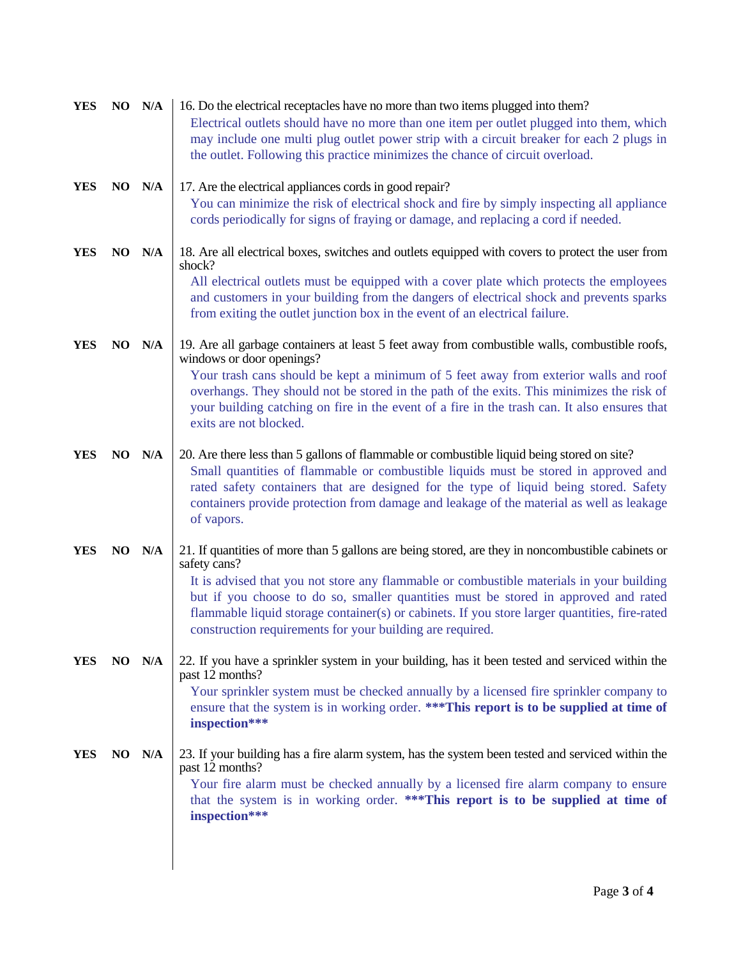| <b>YES</b> | NO N/A | 16. Do the electrical receptacles have no more than two items plugged into them?<br>Electrical outlets should have no more than one item per outlet plugged into them, which<br>may include one multi plug outlet power strip with a circuit breaker for each 2 plugs in<br>the outlet. Following this practice minimizes the chance of circuit overload.                                                                                                          |
|------------|--------|--------------------------------------------------------------------------------------------------------------------------------------------------------------------------------------------------------------------------------------------------------------------------------------------------------------------------------------------------------------------------------------------------------------------------------------------------------------------|
| <b>YES</b> | NO N/A | 17. Are the electrical appliances cords in good repair?<br>You can minimize the risk of electrical shock and fire by simply inspecting all appliance<br>cords periodically for signs of fraying or damage, and replacing a cord if needed.                                                                                                                                                                                                                         |
| <b>YES</b> | NO N/A | 18. Are all electrical boxes, switches and outlets equipped with covers to protect the user from<br>shock?<br>All electrical outlets must be equipped with a cover plate which protects the employees<br>and customers in your building from the dangers of electrical shock and prevents sparks<br>from exiting the outlet junction box in the event of an electrical failure.                                                                                    |
| <b>YES</b> | NO N/A | 19. Are all garbage containers at least 5 feet away from combustible walls, combustible roofs,<br>windows or door openings?<br>Your trash cans should be kept a minimum of 5 feet away from exterior walls and roof<br>overhangs. They should not be stored in the path of the exits. This minimizes the risk of<br>your building catching on fire in the event of a fire in the trash can. It also ensures that<br>exits are not blocked.                         |
| <b>YES</b> | NO N/A | 20. Are there less than 5 gallons of flammable or combustible liquid being stored on site?<br>Small quantities of flammable or combustible liquids must be stored in approved and<br>rated safety containers that are designed for the type of liquid being stored. Safety<br>containers provide protection from damage and leakage of the material as well as leakage<br>of vapors.                                                                               |
| <b>YES</b> | NO N/A | 21. If quantities of more than 5 gallons are being stored, are they in noncombustible cabinets or<br>safety cans?<br>It is advised that you not store any flammable or combustible materials in your building<br>but if you choose to do so, smaller quantities must be stored in approved and rated<br>flammable liquid storage container(s) or cabinets. If you store larger quantities, fire-rated<br>construction requirements for your building are required. |
| <b>YES</b> | NO N/A | 22. If you have a sprinkler system in your building, has it been tested and serviced within the<br>past 12 months?<br>Your sprinkler system must be checked annually by a licensed fire sprinkler company to<br>ensure that the system is in working order. *** This report is to be supplied at time of<br>inspection***                                                                                                                                          |
| YES        | NO N/A | 23. If your building has a fire alarm system, has the system been tested and serviced within the<br>past 12 months?<br>Your fire alarm must be checked annually by a licensed fire alarm company to ensure<br>that the system is in working order. ***This report is to be supplied at time of<br>inspection***                                                                                                                                                    |